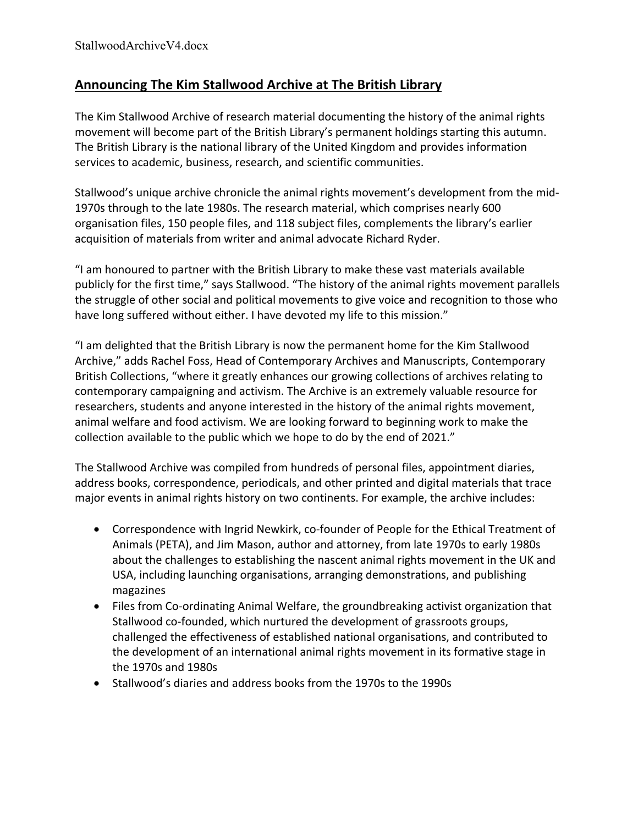## **Announcing The Kim Stallwood Archive at The British Library**

The Kim Stallwood Archive of research material documenting the history of the animal rights movement will become part of the British Library's permanent holdings starting this autumn. The British Library is the national library of the United Kingdom and provides information services to academic, business, research, and scientific communities.

Stallwood's unique archive chronicle the animal rights movement's development from the mid-1970s through to the late 1980s. The research material, which comprises nearly 600 organisation files, 150 people files, and 118 subject files, complements the library's earlier acquisition of materials from writer and animal advocate Richard Ryder.

"I am honoured to partner with the British Library to make these vast materials available publicly for the first time," says Stallwood. "The history of the animal rights movement parallels the struggle of other social and political movements to give voice and recognition to those who have long suffered without either. I have devoted my life to this mission."

"I am delighted that the British Library is now the permanent home for the Kim Stallwood Archive," adds Rachel Foss, Head of Contemporary Archives and Manuscripts, Contemporary British Collections, "where it greatly enhances our growing collections of archives relating to contemporary campaigning and activism. The Archive is an extremely valuable resource for researchers, students and anyone interested in the history of the animal rights movement, animal welfare and food activism. We are looking forward to beginning work to make the collection available to the public which we hope to do by the end of 2021."

The Stallwood Archive was compiled from hundreds of personal files, appointment diaries, address books, correspondence, periodicals, and other printed and digital materials that trace major events in animal rights history on two continents. For example, the archive includes:

- Correspondence with Ingrid Newkirk, co-founder of People for the Ethical Treatment of Animals (PETA), and Jim Mason, author and attorney, from late 1970s to early 1980s about the challenges to establishing the nascent animal rights movement in the UK and USA, including launching organisations, arranging demonstrations, and publishing magazines
- Files from Co-ordinating Animal Welfare, the groundbreaking activist organization that Stallwood co-founded, which nurtured the development of grassroots groups, challenged the effectiveness of established national organisations, and contributed to the development of an international animal rights movement in its formative stage in the 1970s and 1980s
- Stallwood's diaries and address books from the 1970s to the 1990s